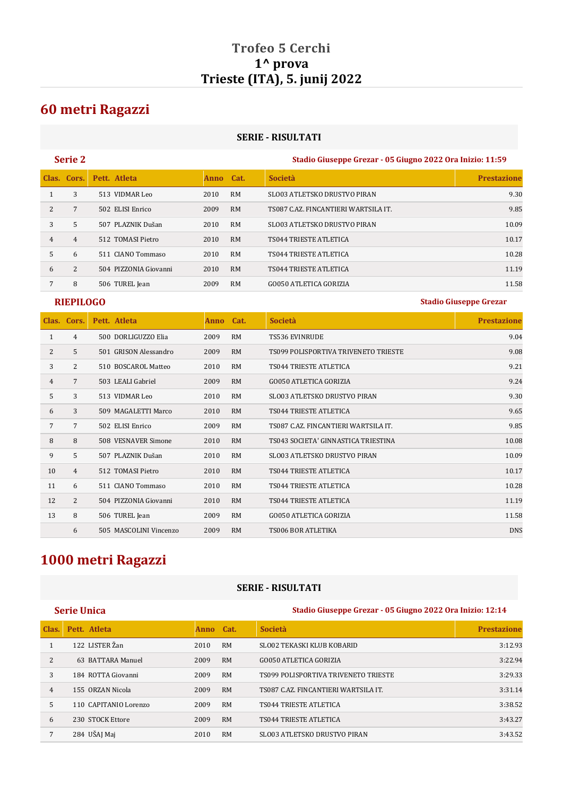## **Trofeo 5 Cerchi 1^ prova Trieste (ITA), 5. junij 2022**

## **60 metri Ragazzi**

## **SERIE - RISULTATI**

| <b>Serie 2</b> | Stadio Giuseppe Grezar - 05 Giugno 2022 Ora Inizio: 11:59 |
|----------------|-----------------------------------------------------------|
|                |                                                           |

|                | Clas. Cors. | Pett. Atleta          | Anno Cat. |           | <b>Società</b>                       | <b>Prestazione</b> |
|----------------|-------------|-----------------------|-----------|-----------|--------------------------------------|--------------------|
|                | 3           | 513 VIDMAR Leo        | 2010      | <b>RM</b> | SLO03 ATLETSKO DRUSTVO PIRAN         | 9.30               |
| $\overline{2}$ |             | 502 ELISI Enrico      | 2009      | <b>RM</b> | TS087 C.AZ. FINCANTIERI WARTSILA IT. | 9.85               |
| 3              | 5           | 507 PLAZNIK Dušan     | 2010      | <b>RM</b> | <b>SLO03 ATLETSKO DRUSTVO PIRAN</b>  | 10.09              |
| 4              | 4           | 512 TOMASI Pietro     | 2010      | <b>RM</b> | TS044 TRIESTE ATLETICA               | 10.17              |
| 5              | 6           | 511 CIANO Tommaso     | 2010      | <b>RM</b> | <b>TS044 TRIESTE ATLETICA</b>        | 10.28              |
| 6              | 2           | 504 PIZZONIA Giovanni | 2010      | <b>RM</b> | TS044 TRIESTE ATLETICA               | 11.19              |
|                | 8           | 506 TUREL Jean        | 2009      | <b>RM</b> | <b>GO050 ATLETICA GORIZIA</b>        | 11.58              |

**RIEPILOGO Stadio Giuseppe Grezar**

|                | Clas. Cors.     | Pett. Atleta           | Anno | Cat.      | <b>Società</b>                       | <b>Prestazione</b> |
|----------------|-----------------|------------------------|------|-----------|--------------------------------------|--------------------|
| 1              | 4               | 500 DORLIGUZZO Elia    | 2009 | <b>RM</b> | <b>TS536 EVINRUDE</b>                | 9.04               |
| 2              | 5               | 501 GRISON Alessandro  | 2009 | <b>RM</b> | TS099 POLISPORTIVA TRIVENETO TRIESTE | 9.08               |
| 3              | 2               | 510 BOSCAROL Matteo    | 2010 | <b>RM</b> | TS044 TRIESTE ATLETICA               | 9.21               |
| $\overline{4}$ | 7               | 503 LEALI Gabriel      | 2009 | <b>RM</b> | <b>GO050 ATLETICA GORIZIA</b>        | 9.24               |
| 5              | 3               | 513 VIDMAR Leo         | 2010 | <b>RM</b> | SLO03 ATLETSKO DRUSTVO PIRAN         | 9.30               |
| 6              | 3               | 509 MAGALETTI Marco    | 2010 | <b>RM</b> | <b>TS044 TRIESTE ATLETICA</b>        | 9.65               |
| $\overline{7}$ | $7\overline{ }$ | 502 ELISI Enrico       | 2009 | <b>RM</b> | TS087 C.AZ. FINCANTIERI WARTSILA IT. | 9.85               |
| 8              | 8               | 508 VESNAVER Simone    | 2010 | <b>RM</b> | TS043 SOCIETA' GINNASTICA TRIESTINA  | 10.08              |
| 9              | 5               | 507 PLAZNIK Dušan      | 2010 | <b>RM</b> | <b>SLO03 ATLETSKO DRUSTVO PIRAN</b>  | 10.09              |
| 10             | $\overline{4}$  | 512 TOMASI Pietro      | 2010 | <b>RM</b> | <b>TS044 TRIESTE ATLETICA</b>        | 10.17              |
| 11             | 6               | 511 CIANO Tommaso      | 2010 | <b>RM</b> | <b>TS044 TRIESTE ATLETICA</b>        | 10.28              |
| 12             | 2               | 504 PIZZONIA Giovanni  | 2010 | <b>RM</b> | <b>TS044 TRIESTE ATLETICA</b>        | 11.19              |
| 13             | 8               | 506 TUREL Jean         | 2009 | <b>RM</b> | <b>GO050 ATLETICA GORIZIA</b>        | 11.58              |
|                | 6               | 505 MASCOLINI Vincenzo | 2009 | <b>RM</b> | TS006 BOR ATLETIKA                   | <b>DNS</b>         |

# **1000 metri Ragazzi**

## **SERIE - RISULTATI**

|                | <b>Serie Unica</b>    |           |           | Stadio Giuseppe Grezar - 05 Giugno 2022 Ora Inizio: 12:14 |                    |  |
|----------------|-----------------------|-----------|-----------|-----------------------------------------------------------|--------------------|--|
| Clas.          | Pett. Atleta          | Anno Cat. |           | <b>Società</b>                                            | <b>Prestazione</b> |  |
|                | 122 LISTER Žan        | 2010      | <b>RM</b> | SLO02 TEKASKI KLUB KOBARID                                | 3:12.93            |  |
| 2              | 63 BATTARA Manuel     | 2009      | <b>RM</b> | GO050 ATLETICA GORIZIA                                    | 3:22.94            |  |
| 3              | 184 ROTTA Giovanni    | 2009      | <b>RM</b> | TS099 POLISPORTIVA TRIVENETO TRIESTE                      | 3:29.33            |  |
| $\overline{4}$ | 155 ORZAN Nicola      | 2009      | <b>RM</b> | TS087 C.AZ. FINCANTIERI WARTSILA IT.                      | 3:31.14            |  |
| 5              | 110 CAPITANIO Lorenzo | 2009      | <b>RM</b> | <b>TS044 TRIESTE ATLETICA</b>                             | 3:38.52            |  |
| 6              | 230 STOCK Ettore      | 2009      | <b>RM</b> | TS044 TRIESTE ATLETICA                                    | 3:43.27            |  |
| 7              | 284 UŠAJ Maj          | 2010      | <b>RM</b> | <b>SLO03 ATLETSKO DRUSTVO PIRAN</b>                       | 3:43.52            |  |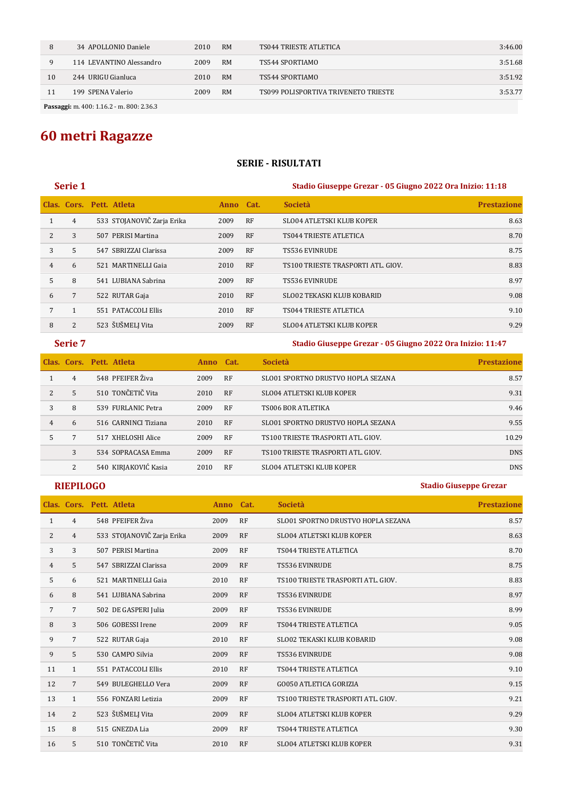|    | 34 APOLLONIO Daniele     | 2010 | <b>RM</b> | TS044 TRIESTE ATLETICA               | 3:46.00 |
|----|--------------------------|------|-----------|--------------------------------------|---------|
|    | 114 LEVANTINO Alessandro | 2009 | <b>RM</b> | TS544 SPORTIAMO                      | 3:51.68 |
| 10 | 244 URIGU Gianluca       | 2010 | <b>RM</b> | TS544 SPORTIAMO                      | 3:51.92 |
| 11 | 199 SPENA Valerio        | 2009 | <b>RM</b> | TS099 POLISPORTIVA TRIVENETO TRIESTE | 3:53.77 |
|    |                          |      |           |                                      |         |

**Passaggi:** m. 400: 1.16.2 - m. 800: 2.36.3

# **60 metri Ragazze**

## **SERIE - RISULTATI**

## **Serie 1 Stadio Giuseppe Grezar - 05 Giugno 2022 Ora Inizio: 11:18**

|   |                | Clas. Cors. Pett. Atleta |                            | Anno Cat. |           | <b>Società</b>                     | <b>Prestazione</b> |
|---|----------------|--------------------------|----------------------------|-----------|-----------|------------------------------------|--------------------|
|   | $\overline{4}$ |                          | 533 STOJANOVIČ Zarja Erika | 2009      | RF        | <b>SLO04 ATLETSKI KLUB KOPER</b>   | 8.63               |
| 2 | 3              |                          | 507 PERISI Martina         | 2009      | RF        | TS044 TRIESTE ATLETICA             | 8.70               |
| 3 | 5              |                          | 547 SBRIZZAI Clarissa      | 2009      | RF        | <b>TS536 EVINRUDE</b>              | 8.75               |
| 4 | 6              |                          | 521 MARTINELLI Gaja        | 2010      | RF        | TS100 TRIESTE TRASPORTI ATL, GIOV. | 8.83               |
| 5 | 8              |                          | 541 LUBIANA Sabrina        | 2009      | RF        | <b>TS536 EVINRUDE</b>              | 8.97               |
| 6 | $\overline{7}$ |                          | 522 RUTAR Gaja             | 2010      | <b>RF</b> | <b>SLO02 TEKASKI KLUB KOBARID</b>  | 9.08               |
| 7 |                |                          | 551 PATACCOLI Ellis        | 2010      | RF        | TS044 TRIESTE ATLETICA             | 9.10               |
| 8 | 2              |                          | 523 ŠUŠMELJ Vita           | 2009      | RF        | <b>SLO04 ATLETSKI KLUB KOPER</b>   | 9.29               |

**Serie 7 Stadio Giuseppe Grezar - 05 Giugno 2022 Ora Inizio: 11:47**

|   |                | Clas. Cors. Pett. Atleta | Anno Cat. |           | <b>Società</b>                            | <b>Prestazione</b> |
|---|----------------|--------------------------|-----------|-----------|-------------------------------------------|--------------------|
|   | $\overline{4}$ | 548 PFEIFER Živa         | 2009      | RF        | SLO01 SPORTNO DRUSTVO HOPLA SEZANA        | 8.57               |
| 2 | 5              | 510 TONČETIČ Vita        | 2010      | RF        | <b>SLO04 ATLETSKI KLUB KOPER</b>          | 9.31               |
| 3 | 8              | 539 FURLANIC Petra       | 2009      | RF        | TS006 BOR ATLETIKA                        | 9.46               |
| 4 | 6              | 516 CARNINCI Tiziana     | 2010      | RF        | SLO01 SPORTNO DRUSTVO HOPLA SEZANA        | 9.55               |
|   | 7              | 517 XHELOSHI Alice       | 2009      | RF        | TS100 TRIESTE TRASPORTI ATL, GIOV.        | 10.29              |
|   | 3              | 534 SOPRACASA Emma       | 2009      | RF        | <b>TS100 TRIESTE TRASPORTI ATL, GIOV.</b> | <b>DNS</b>         |
|   | 2              | 540 KIRJAKOVIĆ Kasia     | 2010      | <b>RF</b> | <b>SLO04 ATLETSKI KLUB KOPER</b>          | <b>DNS</b>         |

| Clas.          | Cors.          | Pett. Atleta               | Anno | Cat.      | <b>Società</b>                     | <b>Prestazione</b> |
|----------------|----------------|----------------------------|------|-----------|------------------------------------|--------------------|
| 1              | 4              | 548 PFEIFER Živa           | 2009 | RF        | SLO01 SPORTNO DRUSTVO HOPLA SEZANA | 8.57               |
| 2              | $\overline{4}$ | 533 STOJANOVIČ Zarja Erika | 2009 | RF        | <b>SLO04 ATLETSKI KLUB KOPER</b>   | 8.63               |
| 3              | 3              | 507 PERISI Martina         | 2009 | RF        | <b>TS044 TRIESTE ATLETICA</b>      | 8.70               |
| $\overline{4}$ | 5              | 547 SBRIZZAI Clarissa      | 2009 | RF        | <b>TS536 EVINRUDE</b>              | 8.75               |
| 5              | 6              | 521 MARTINELLI Gaia        | 2010 | <b>RF</b> | TS100 TRIESTE TRASPORTI ATL. GIOV. | 8.83               |
| 6              | 8              | 541 LUBIANA Sabrina        | 2009 | RF        | <b>TS536 EVINRUDE</b>              | 8.97               |
| 7              | 7              | 502 DE GASPERI Julia       | 2009 | RF        | <b>TS536 EVINRUDE</b>              | 8.99               |
| 8              | 3              | 506 GOBESSI Irene          | 2009 | RF        | <b>TS044 TRIESTE ATLETICA</b>      | 9.05               |
| 9              | $\overline{7}$ | 522 RUTAR Gaja             | 2010 | <b>RF</b> | <b>SLO02 TEKASKI KLUB KOBARID</b>  | 9.08               |
| 9              | 5              | 530 CAMPO Silvia           | 2009 | RF        | <b>TS536 EVINRUDE</b>              | 9.08               |
| 11             | $\mathbf{1}$   | 551 PATACCOLI Ellis        | 2010 | <b>RF</b> | <b>TS044 TRIESTE ATLETICA</b>      | 9.10               |
| 12             | 7              | 549 BULEGHELLO Vera        | 2009 | RF        | <b>GO050 ATLETICA GORIZIA</b>      | 9.15               |
| 13             | $\mathbf{1}$   | 556 FONZARI Letizia        | 2009 | RF        | TS100 TRIESTE TRASPORTI ATL. GIOV. | 9.21               |
| 14             | 2              | 523 ŠUŠMELJ Vita           | 2009 | RF        | <b>SLO04 ATLETSKI KLUB KOPER</b>   | 9.29               |
| 15             | 8              | 515 GNEZDA Lia             | 2009 | RF        | <b>TS044 TRIESTE ATLETICA</b>      | 9.30               |
| 16             | 5              | 510 TONČETIČ Vita          | 2010 | RF        | <b>SLO04 ATLETSKI KLUB KOPER</b>   | 9.31               |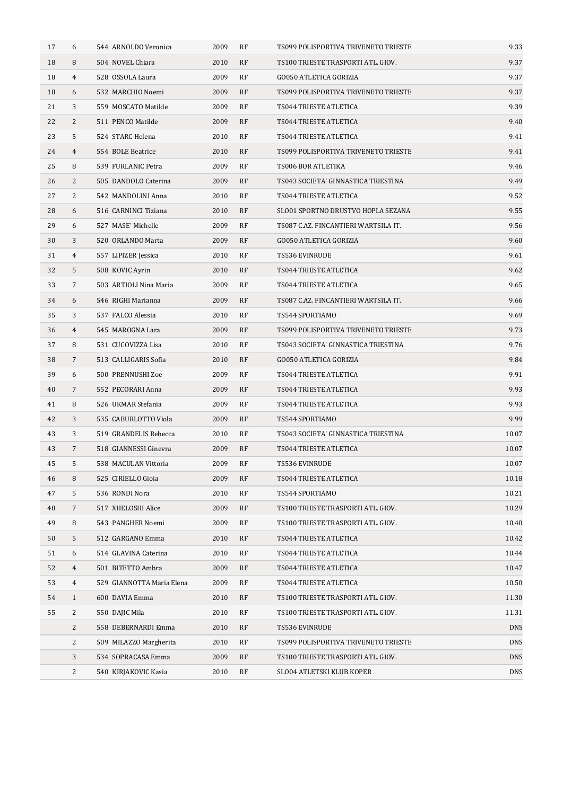| 17 | 6              | 544 ARNOLDO Veronica      | 2009 | RF | TS099 POLISPORTIVA TRIVENETO TRIESTE | 9.33       |
|----|----------------|---------------------------|------|----|--------------------------------------|------------|
| 18 | 8              | 504 NOVEL Chiara          | 2010 | RF | TS100 TRIESTE TRASPORTI ATL. GIOV.   | 9.37       |
| 18 | $\overline{4}$ | 528 OSSOLA Laura          | 2009 | RF | <b>GO050 ATLETICA GORIZIA</b>        | 9.37       |
| 18 | 6              | 532 MARCHIO Noemi         | 2009 | RF | TS099 POLISPORTIVA TRIVENETO TRIESTE | 9.37       |
| 21 | 3              | 559 MOSCATO Matilde       | 2009 | RF | TS044 TRIESTE ATLETICA               | 9.39       |
| 22 | 2              | 511 PENCO Matilde         | 2009 | RF | TS044 TRIESTE ATLETICA               | 9.40       |
| 23 | 5              | 524 STARC Helena          | 2010 | RF | TS044 TRIESTE ATLETICA               | 9.41       |
| 24 | 4              | 554 BOLE Beatrice         | 2010 | RF | TS099 POLISPORTIVA TRIVENETO TRIESTE | 9.41       |
| 25 | 8              | 539 FURLANIC Petra        | 2009 | RF | TS006 BOR ATLETIKA                   | 9.46       |
| 26 | 2              | 505 DANDOLO Caterina      | 2009 | RF | TS043 SOCIETA' GINNASTICA TRIESTINA  | 9.49       |
| 27 | 2              | 542 MANDOLINI Anna        | 2010 | RF | TS044 TRIESTE ATLETICA               | 9.52       |
| 28 | 6              | 516 CARNINCI Tiziana      | 2010 | RF | SLO01 SPORTNO DRUSTVO HOPLA SEZANA   | 9.55       |
| 29 | 6              | 527 MASE' Michelle        | 2009 | RF | TS087 C.AZ. FINCANTIERI WARTSILA IT. | 9.56       |
| 30 | 3              | 520 ORLANDO Marta         | 2009 | RF | <b>GO050 ATLETICA GORIZIA</b>        | 9.60       |
| 31 | 4              | 557 LIPIZER Jessica       | 2010 | RF | TS536 EVINRUDE                       | 9.61       |
| 32 | 5              | 508 KOVIC Ayrin           | 2010 | RF | TS044 TRIESTE ATLETICA               | 9.62       |
| 33 | 7              | 503 ARTIOLI Nina Maria    | 2009 | RF | TS044 TRIESTE ATLETICA               | 9.65       |
| 34 | 6              | 546 RIGHI Marianna        | 2009 | RF | TS087 C.AZ. FINCANTIERI WARTSILA IT. | 9.66       |
| 35 | 3              | 537 FALCO Alessia         | 2010 | RF | TS544 SPORTIAMO                      | 9.69       |
| 36 | $\overline{4}$ | 545 MAROGNA Lara          | 2009 | RF | TS099 POLISPORTIVA TRIVENETO TRIESTE | 9.73       |
| 37 | 8              | 531 CUCOVIZZA Lisa        | 2010 | RF | TS043 SOCIETA' GINNASTICA TRIESTINA  | 9.76       |
| 38 | 7              | 513 CALLIGARIS Sofia      | 2010 | RF | <b>GO050 ATLETICA GORIZIA</b>        | 9.84       |
| 39 | 6              | 500 PRENNUSHI Zoe         | 2009 | RF | TS044 TRIESTE ATLETICA               | 9.91       |
| 40 | 7              | 552 PECORARI Anna         | 2009 | RF | TS044 TRIESTE ATLETICA               | 9.93       |
| 41 | 8              | 526 UKMAR Stefania        | 2009 | RF | TS044 TRIESTE ATLETICA               | 9.93       |
| 42 | 3              | 535 CABURLOTTO Viola      | 2009 | RF | TS544 SPORTIAMO                      | 9.99       |
| 43 | 3              | 519 GRANDELIS Rebecca     | 2010 | RF | TS043 SOCIETA' GINNASTICA TRIESTINA  | 10.07      |
| 43 | $\overline{7}$ | 518 GIANNESSI Ginevra     | 2009 | RF | TS044 TRIESTE ATLETICA               | 10.07      |
| 45 | 5              | 538 MACULAN Vittoria      | 2009 | RF | TS536 EVINRUDE                       | 10.07      |
| 46 | 8              | 525 CIRIELLO Gioia        | 2009 | RF | TS044 TRIESTE ATLETICA               | 10.18      |
| 47 | 5              | 536 RONDI Nora            | 2010 | RF | TS544 SPORTIAMO                      | 10.21      |
| 48 | 7              | 517 XHELOSHI Alice        | 2009 | RF | TS100 TRIESTE TRASPORTI ATL. GIOV.   | 10.29      |
| 49 | 8              | 543 PANGHER Noemi         | 2009 | RF | TS100 TRIESTE TRASPORTI ATL. GIOV.   | 10.40      |
| 50 | 5              | 512 GARGANO Emma          | 2010 | RF | TS044 TRIESTE ATLETICA               | 10.42      |
| 51 | 6              | 514 GLAVINA Caterina      | 2010 | RF | TS044 TRIESTE ATLETICA               | 10.44      |
| 52 | 4              | 501 BITETTO Ambra         | 2009 | RF | TS044 TRIESTE ATLETICA               | 10.47      |
| 53 | 4              | 529 GIANNOTTA Maria Elena | 2009 | RF | TS044 TRIESTE ATLETICA               | 10.50      |
| 54 | $\mathbf{1}$   | 600 DAVIA Emma            | 2010 | RF | TS100 TRIESTE TRASPORTI ATL. GIOV.   | 11.30      |
| 55 | 2              | 550 DAJIC Mila            | 2010 | RF | TS100 TRIESTE TRASPORTI ATL. GIOV.   | 11.31      |
|    | $\overline{c}$ | 558 DEBERNARDI Emma       | 2010 | RF | TS536 EVINRUDE                       | <b>DNS</b> |
|    | $\overline{c}$ | 509 MILAZZO Margherita    | 2010 | RF | TS099 POLISPORTIVA TRIVENETO TRIESTE | <b>DNS</b> |
|    | 3              | 534 SOPRACASA Emma        | 2009 | RF | TS100 TRIESTE TRASPORTI ATL. GIOV.   | <b>DNS</b> |
|    | 2              | 540 KIRJAKOVIC Kasia      | 2010 | RF | SLO04 ATLETSKI KLUB KOPER            | <b>DNS</b> |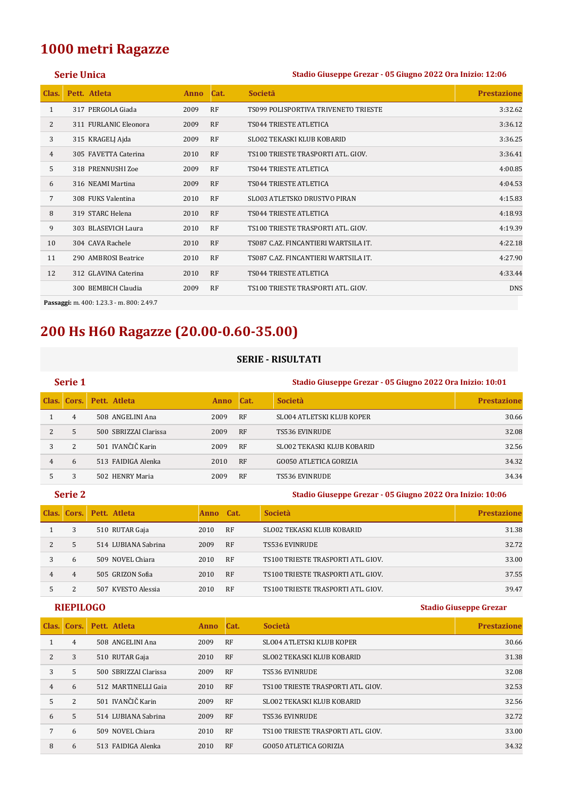## **1000 metri Ragazze**

### **Serie Unica Stadio Giuseppe Grezar - 05 Giugno 2022 Ora Inizio: 12:06**

| Clas.          | Pett. Atleta          | <b>Anno</b> | Cat.      | <b>Societa</b>                            | <b>Prestazione</b> |
|----------------|-----------------------|-------------|-----------|-------------------------------------------|--------------------|
| 1              | 317 PERGOLA Giada     | 2009        | RF        | TS099 POLISPORTIVA TRIVENETO TRIESTE      | 3:32.62            |
| 2              | 311 FURLANIC Eleonora | 2009        | RF        | TS044 TRIESTE ATLETICA                    | 3:36.12            |
| 3              | 315 KRAGELJ Ajda      | 2009        | <b>RF</b> | SLO02 TEKASKI KLUB KOBARID                | 3:36.25            |
| $\overline{4}$ | 305 FAVETTA Caterina  | 2010        | RF        | TS100 TRIESTE TRASPORTI ATL. GIOV.        | 3:36.41            |
| 5              | 318 PRENNUSHI Zoe     | 2009        | RF        | TS044 TRIESTE ATLETICA                    | 4:00.85            |
| 6              | 316 NEAMI Martina     | 2009        | RF        | TS044 TRIESTE ATLETICA                    | 4:04.53            |
| 7              | 308 FUKS Valentina    | 2010        | RF        | <b>SLO03 ATLETSKO DRUSTVO PIRAN</b>       | 4:15.83            |
| 8              | 319 STARC Helena      | 2010        | RF        | TS044 TRIESTE ATLETICA                    | 4:18.93            |
| 9              | 303 BLASEVICH Laura   | 2010        | RF        | TS100 TRIESTE TRASPORTI ATL. GIOV.        | 4:19.39            |
| 10             | 304 CAVA Rachele      | 2010        | RF        | TS087 C.AZ. FINCANTIERI WARTSILA IT.      | 4:22.18            |
| 11             | 290 AMBROSI Beatrice  | 2010        | <b>RF</b> | TS087 C.AZ. FINCANTIERI WARTSILA IT.      | 4:27.90            |
| 12             | 312 GLAVINA Caterina  | 2010        | RF        | TS044 TRIESTE ATLETICA                    | 4:33.44            |
|                | 300 BEMBICH Claudia   | 2009        | RF        | <b>TS100 TRIESTE TRASPORTI ATL. GIOV.</b> | <b>DNS</b>         |
|                |                       |             |           |                                           |                    |

**Passaggi:** m. 400: 1.23.3 - m. 800: 2.49.7

# **200 Hs H60 Ragazze (20.00-0.60-35.00)**

## **SERIE - RISULTATI**

|   | Serie 1        |                          |             |           | Stadio Giuseppe Grezar - 05 Giugno 2022 Ora Inizio: 10:01 |                    |  |
|---|----------------|--------------------------|-------------|-----------|-----------------------------------------------------------|--------------------|--|
|   |                | Clas. Cors. Pett. Atleta | <b>Anno</b> | Cat.      | <b>Società</b>                                            | <b>Prestazione</b> |  |
|   | 4              | 508 ANGELINI Ana         | 2009        | <b>RF</b> | <b>SLO04 ATLETSKI KLUB KOPER</b>                          | 30.66              |  |
| 2 | 5              | 500 SBRIZZAI Clarissa    | 2009        | <b>RF</b> | <b>TS536 EVINRUDE</b>                                     | 32.08              |  |
| 3 | $\overline{2}$ | 501 IVANČIČ Karin        | 2009        | <b>RF</b> | SLO02 TEKASKI KLUB KOBARID                                | 32.56              |  |
| 4 | 6              | 513 FAIDIGA Alenka       | 2010        | <b>RF</b> | <b>GO050 ATLETICA GORIZIA</b>                             | 34.32              |  |
|   |                | 502 HENRY Maria          | 2009        | <b>RF</b> | <b>TS536 EVINRUDE</b>                                     | 34.34              |  |

|   | Serie 2 |                          |             |           | Stadio Giuseppe Grezar - 05 Giugno 2022 Ora Inizio: 10:06 |                    |  |
|---|---------|--------------------------|-------------|-----------|-----------------------------------------------------------|--------------------|--|
|   |         | Clas. Cors. Pett. Atleta | <b>Anno</b> | Cat.      | <b>Società</b>                                            | <b>Prestazione</b> |  |
|   | 3       | 510 RUTAR Gaja           | 2010        | <b>RF</b> | SLO02 TEKASKI KLUB KOBARID                                | 31.38              |  |
| 2 | 5       | 514 LUBIANA Sabrina      | 2009        | RF        | TS536 EVINRUDE                                            | 32.72              |  |
| 3 | 6       | 509 NOVEL Chiara         | 2010        | <b>RF</b> | TS100 TRIESTE TRASPORTI ATL. GIOV.                        | 33.00              |  |
| 4 | 4       | 505 GRIZON Sofia         | 2010        | RF        | TS100 TRIESTE TRASPORTI ATL. GIOV.                        | 37.55              |  |
| 5 |         | 507 KVESTO Alessia       | 2010        | <b>RF</b> | TS100 TRIESTE TRASPORTI ATL. GIOV.                        | 39.47              |  |

|                | Clas. Cors. | Pett. Atleta          | <b>Anno</b> | Cat. | <b>Società</b>                     | <b>Prestazione</b> |
|----------------|-------------|-----------------------|-------------|------|------------------------------------|--------------------|
|                | 4           | 508 ANGELINI Ana      | 2009        | RF   | <b>SLO04 ATLETSKI KLUB KOPER</b>   | 30.66              |
| 2              | 3           | 510 RUTAR Gaja        | 2010        | RF   | <b>SLO02 TEKASKI KLUB KOBARID</b>  | 31.38              |
| 3              | 5           | 500 SBRIZZAI Clarissa | 2009        | RF   | TS536 EVINRUDE                     | 32.08              |
| $\overline{4}$ | 6           | 512 MARTINELLI Gaja   | 2010        | RF   | TS100 TRIESTE TRASPORTI ATL. GIOV. | 32.53              |
| 5              | 2           | 501 IVANČIČ Karin     | 2009        | RF   | <b>SLO02 TEKASKI KLUB KOBARID</b>  | 32.56              |
| 6              | 5           | 514 LUBIANA Sabrina   | 2009        | RF   | <b>TS536 EVINRUDE</b>              | 32.72              |
| 7              | 6           | 509 NOVEL Chiara      | 2010        | RF   | TS100 TRIESTE TRASPORTI ATL. GIOV. | 33.00              |
| 8              | 6           | 513 FAIDIGA Alenka    | 2010        | RF   | GO050 ATLETICA GORIZIA             | 34.32              |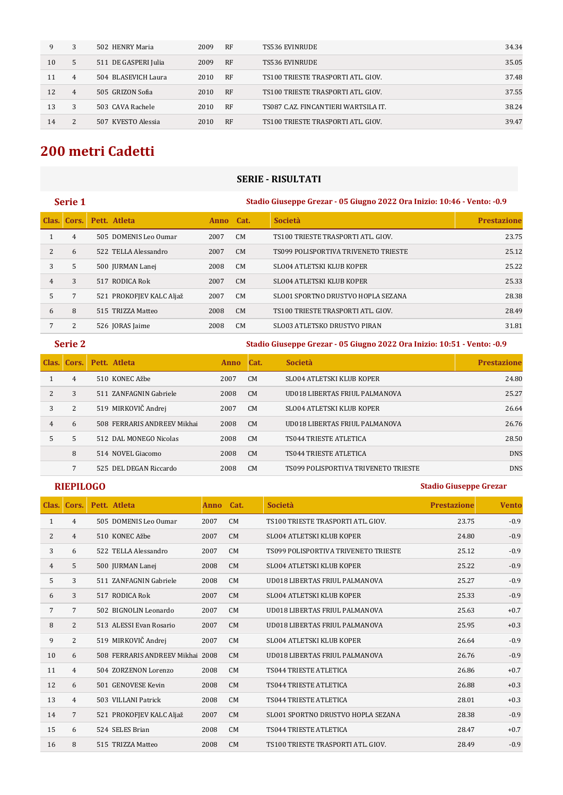| 9  | 3              | 502 HENRY Maria      | 2009 | <b>RF</b> | TS536 EVINRUDE                       | 34.34 |
|----|----------------|----------------------|------|-----------|--------------------------------------|-------|
| 10 | 5              | 511 DE GASPERI Julia | 2009 | <b>RF</b> | TS536 EVINRUDE                       | 35.05 |
| 11 | 4              | 504 BLASEVICH Laura  | 2010 | <b>RF</b> | TS100 TRIESTE TRASPORTI ATL. GIOV.   | 37.48 |
| 12 | 4              | 505 GRIZON Sofia     | 2010 | <b>RF</b> | TS100 TRIESTE TRASPORTI ATL. GIOV.   | 37.55 |
| 13 | 3              | 503 CAVA Rachele     | 2010 | <b>RF</b> | TS087 C.AZ. FINCANTIERI WARTSILA IT. | 38.24 |
| 14 | $\overline{2}$ | 507 KVESTO Alessia   | 2010 | RF        | TS100 TRIESTE TRASPORTI ATL. GIOV.   | 39.47 |

# **200 metri Cadetti**

## **SERIE - RISULTATI**

|   | Serie 1         |                          | Stadio Giuseppe Grezar - 05 Giugno 2022 Ora Inizio: 10:46 - Vento: -0.9 |                |                                      |                    |  |  |  |  |
|---|-----------------|--------------------------|-------------------------------------------------------------------------|----------------|--------------------------------------|--------------------|--|--|--|--|
|   | Clas. Cors.     | Pett. Atleta             | Anno Cat.                                                               |                | <b>Società</b>                       | <b>Prestazione</b> |  |  |  |  |
|   | 4               | 505 DOMENIS Leo Oumar    | 2007                                                                    | CM             | TS100 TRIESTE TRASPORTI ATL. GIOV.   | 23.75              |  |  |  |  |
| 2 | 6               | 522 TELLA Alessandro     | 2007                                                                    | CM             | TS099 POLISPORTIVA TRIVENETO TRIESTE | 25.12              |  |  |  |  |
| 3 | 5               | 500 JURMAN Lanej         | 2008                                                                    | CM             | <b>SLO04 ATLETSKI KLUB KOPER</b>     | 25.22              |  |  |  |  |
| 4 | 3               | 517 RODICA Rok           | 2007                                                                    | C <sub>M</sub> | <b>SLO04 ATLETSKI KLUB KOPER</b>     | 25.33              |  |  |  |  |
| 5 | $7\phantom{.0}$ | 521 PROKOFJEV KALC Aljaž | 2007                                                                    | CM             | SLO01 SPORTNO DRUSTVO HOPLA SEZANA   | 28.38              |  |  |  |  |
| 6 | 8               | 515 TRIZZA Matteo        | 2008                                                                    | CM             | TS100 TRIESTE TRASPORTI ATL. GIOV.   | 28.49              |  |  |  |  |
| 7 | 2               | 526 JORAS Jaime          | 2008                                                                    | CM.            | <b>SLO03 ATLETSKO DRUSTVO PIRAN</b>  | 31.81              |  |  |  |  |
|   |                 |                          |                                                                         |                |                                      |                    |  |  |  |  |

**Serie 2 Stadio Giuseppe Grezar - 05 Giugno 2022 Ora Inizio: 10:51 - Vento: -0.9**

| Clas. | Cors. | Pett. Atleta                | Anno. | Cat.           | <b>Società</b>                       | <b>Prestazione</b> |
|-------|-------|-----------------------------|-------|----------------|--------------------------------------|--------------------|
|       | 4     | 510 KONEC Ažbe              | 2007  | CM             | SLO04 ATLETSKI KLUB KOPER            | 24.80              |
|       | 3     | 511 ZANFAGNIN Gabriele      | 2008  | <b>CM</b>      | UD018 LIBERTAS FRIUL PALMANOVA       | 25.27              |
| 3     | 2     | 519 MIRKOVIČ Andrej         | 2007  | <b>CM</b>      | <b>SLO04 ATLETSKI KLUB KOPER</b>     | 26.64              |
| 4     | 6     | 508 FERRARIS ANDREEV Mikhai | 2008  | <b>CM</b>      | UD018 LIBERTAS FRIUL PALMANOVA       | 26.76              |
| 5     | 5     | 512 DAL MONEGO Nicolas      | 2008  | C <sub>M</sub> | TS044 TRIESTE ATLETICA               | 28.50              |
|       | 8     | 514 NOVEL Giacomo           | 2008  | <b>CM</b>      | TS044 TRIESTE ATLETICA               | <b>DNS</b>         |
|       |       | 525 DEL DEGAN Riccardo      | 2008  | CM             | TS099 POLISPORTIVA TRIVENETO TRIESTE | <b>DNS</b>         |

| Clas.          | Cors.           | Pett. Atleta                     | <b>Anno</b> | Cat.      | <b>Società</b>                            | <b>Prestazione</b> | <b>Vento</b> |
|----------------|-----------------|----------------------------------|-------------|-----------|-------------------------------------------|--------------------|--------------|
| 1              | 4               | 505 DOMENIS Leo Oumar            | 2007        | <b>CM</b> | <b>TS100 TRIESTE TRASPORTI ATL, GIOV.</b> | 23.75              | $-0.9$       |
| 2              | $\overline{4}$  | 510 KONEC Ažbe                   | 2007        | CM        | <b>SLO04 ATLETSKI KLUB KOPER</b>          | 24.80              | $-0.9$       |
| 3              | 6               | 522 TELLA Alessandro             | 2007        | CM        | TS099 POLISPORTIVA TRIVENETO TRIESTE      | 25.12              | $-0.9$       |
| $\overline{4}$ | 5               | 500 JURMAN Lanej                 | 2008        | CM        | <b>SLO04 ATLETSKI KLUB KOPER</b>          | 25.22              | $-0.9$       |
| 5              | 3               | 511 ZANFAGNIN Gabriele           | 2008        | <b>CM</b> | UD018 LIBERTAS FRIUL PALMANOVA            | 25.27              | $-0.9$       |
| 6              | 3               | 517 RODICA Rok                   | 2007        | CM        | <b>SLO04 ATLETSKI KLUB KOPER</b>          | 25.33              | $-0.9$       |
| 7              | 7               | 502 BIGNOLIN Leonardo            | 2007        | <b>CM</b> | UD018 LIBERTAS FRIUL PALMANOVA            | 25.63              | $+0.7$       |
| 8              | 2               | 513 ALESSI Evan Rosario          | 2007        | CM        | UD018 LIBERTAS FRIUL PALMANOVA            | 25.95              | $+0.3$       |
| 9              | 2               | 519 MIRKOVIČ Andrej              | 2007        | CM        | <b>SLO04 ATLETSKI KLUB KOPER</b>          | 26.64              | $-0.9$       |
| 10             | 6               | 508 FERRARIS ANDREEV Mikhai 2008 |             | CM        | UD018 LIBERTAS FRIUL PALMANOVA            | 26.76              | $-0.9$       |
| 11             | $\overline{4}$  | 504 ZORZENON Lorenzo             | 2008        | <b>CM</b> | <b>TS044 TRIESTE ATLETICA</b>             | 26.86              | $+0.7$       |
| 12             | 6               | 501 GENOVESE Kevin               | 2008        | CM        | <b>TS044 TRIESTE ATLETICA</b>             | 26.88              | $+0.3$       |
| 13             | $\overline{4}$  | 503 VILLANI Patrick              | 2008        | CM        | TS044 TRIESTE ATLETICA                    | 28.01              | $+0.3$       |
| 14             | $7\overline{ }$ | 521 PROKOFJEV KALC Aljaž         | 2007        | CM        | SLO01 SPORTNO DRUSTVO HOPLA SEZANA        | 28.38              | $-0.9$       |
| 15             | 6               | 524 SELES Brian                  | 2008        | CM        | <b>TS044 TRIESTE ATLETICA</b>             | 28.47              | $+0.7$       |
| 16             | 8               | 515 TRIZZA Matteo                | 2008        | CM        | TS100 TRIESTE TRASPORTI ATL, GIOV.        | 28.49              | $-0.9$       |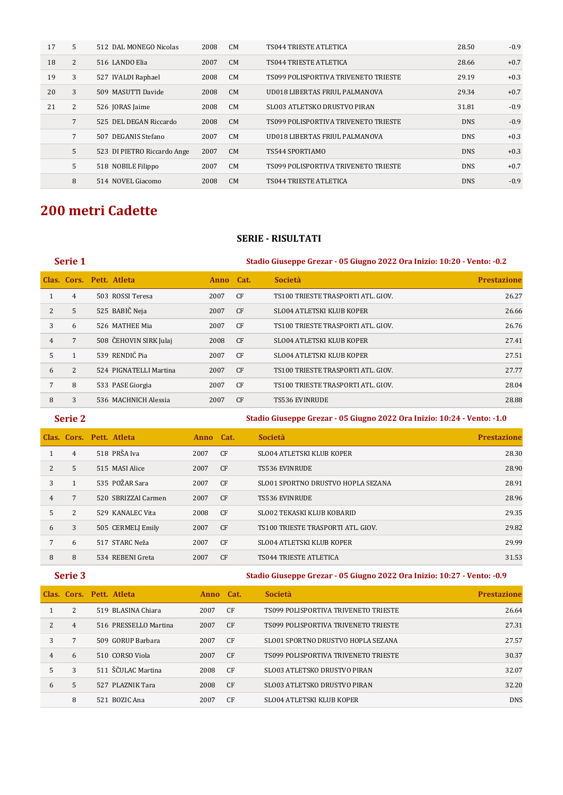| 17 | 5               | 512 DAL MONEGO Nicolas      | 2008 | <b>CM</b> | <b>TS044 TRIESTE ATLETICA</b>        | 28.50      | $-0.9$ |
|----|-----------------|-----------------------------|------|-----------|--------------------------------------|------------|--------|
| 18 | $\overline{2}$  | 516 LANDO Elia              | 2007 | CM        | TS044 TRIESTE ATLETICA               | 28.66      | $+0.7$ |
| 19 | 3               | 527 IVALDI Raphael          | 2008 | <b>CM</b> | TS099 POLISPORTIVA TRIVENETO TRIESTE | 29.19      | $+0.3$ |
| 20 | 3               | 509 MASUTTI Davide          | 2008 | CM        | UD018 LIBERTAS FRIUL PALMANOVA       | 29.34      | $+0.7$ |
| 21 | 2               | 526 JORAS Jaime             | 2008 | <b>CM</b> | SLO03 ATLETSKO DRUSTVO PIRAN         | 31.81      | $-0.9$ |
|    | $7\overline{ }$ | 525 DEL DEGAN Riccardo      | 2008 | CM        | TS099 POLISPORTIVA TRIVENETO TRIESTE | <b>DNS</b> | $-0.9$ |
|    | $\overline{7}$  | 507 DEGANIS Stefano         | 2007 | <b>CM</b> | UD018 LIBERTAS FRIUL PALMANOVA       | <b>DNS</b> | $+0.3$ |
|    | 5               | 523 DI PIETRO Riccardo Ange | 2007 | CM        | TS544 SPORTIAMO                      | <b>DNS</b> | $+0.3$ |
|    | 5               | 518 NOBILE Filippo          | 2007 | CM        | TS099 POLISPORTIVA TRIVENETO TRIESTE | <b>DNS</b> | $+0.7$ |
|    | 8               | 514 NOVEL Giacomo           | 2008 | CM        | <b>TS044 TRIESTE ATLETICA</b>        | <b>DNS</b> | $-0.9$ |

## **200 metri Cadette**

### **SERIE - RISULTATI**

## **Serie 1 Stadio Giuseppe Grezar - 05 Giugno 2022 Ora Inizio: 10:20 - Vento: -0.2**

|   |   | Clas. Cors. Pett. Atleta | Anno Cat. |                | <b>Società</b>                     | <b>Prestazione</b> |
|---|---|--------------------------|-----------|----------------|------------------------------------|--------------------|
|   | 4 | 503 ROSSI Teresa         | 2007      | CF.            | TS100 TRIESTE TRASPORTI ATL. GIOV. | 26.27              |
| 2 | 5 | 525 BABIČ Neja           | 2007      | <b>CF</b>      | <b>SLO04 ATLETSKI KLUB KOPER</b>   | 26.66              |
| 3 | 6 | 526 MATHEE Mia           | 2007      | CF.            | TS100 TRIESTE TRASPORTI ATL. GIOV. | 26.76              |
| 4 | 7 | 508 ČEHOVIN SIRK Julaj   | 2008      | <b>CF</b>      | <b>SLO04 ATLETSKI KLUB KOPER</b>   | 27.41              |
| 5 |   | 539 RENDIĆ Pia           | 2007      | CF.            | <b>SLO04 ATLETSKI KLUB KOPER</b>   | 27.51              |
| 6 | 2 | 524 PIGNATELLI Martina   | 2007      | CF             | TS100 TRIESTE TRASPORTI ATL. GIOV. | 27.77              |
|   | 8 | 533 PASE Giorgia         | 2007      | C <sub>F</sub> | TS100 TRIESTE TRASPORTI ATL. GIOV. | 28.04              |
| 8 | 3 | 536 MACHNICH Alessia     | 2007      | CF             | <b>TS536 EVINRUDE</b>              | 28.88              |

### **Serie 2 Stadio Giuseppe Grezar - 05 Giugno 2022 Ora Inizio: 10:24 - Vento: -1.0**

|                |   | Clas. Cors. Pett. Atleta | Anno Cat. |                | <b>Società</b>                     | <b>Prestazione</b> |
|----------------|---|--------------------------|-----------|----------------|------------------------------------|--------------------|
|                | 4 | 518 PRŠA Iva             | 2007      | CF             | <b>SLO04 ATLETSKI KLUB KOPER</b>   | 28.30              |
| $\overline{2}$ | 5 | 515 MASI Alice           | 2007      | CF             | <b>TS536 EVINRUDE</b>              | 28.90              |
| 3              |   | 535 POŽAR Sara           | 2007      | CF             | SLO01 SPORTNO DRUSTVO HOPLA SEZANA | 28.91              |
| 4              | 7 | 520 SBRIZZAI Carmen      | 2007      | CF             | <b>TS536 EVINRUDE</b>              | 28.96              |
| 5              | 2 | 529 KANALEC Vita         | 2008      | CF             | <b>SLO02 TEKASKI KLUB KOBARID</b>  | 29.35              |
| 6              | 3 | 505 CERMELJ Emily        | 2007      | CF             | TS100 TRIESTE TRASPORTI ATL. GIOV. | 29.82              |
| 7              | 6 | 517 STARC Neža           | 2007      | CF             | <b>SLO04 ATLETSKI KLUB KOPER</b>   | 29.99              |
| 8              | 8 | 534 REBENI Greta         | 2007      | C <sub>F</sub> | <b>TS044 TRIESTE ATLETICA</b>      | 31.53              |

**Serie 3 Stadio Giuseppe Grezar - 05 Giugno 2022 Ora Inizio: 10:27 - Vento: -0.9**

|                |    | Clas. Cors. Pett. Atleta | <b>Anno</b> | Cat.           | <b>Società</b>                       | <b>Prestazione</b> |
|----------------|----|--------------------------|-------------|----------------|--------------------------------------|--------------------|
|                | 2  | 519 BLASINA Chiara       | 2007        | CF             | TS099 POLISPORTIVA TRIVENETO TRIESTE | 26.64              |
| $\overline{2}$ | 4  | 516 PRESSELLO Martina    | 2007        | C <sub>F</sub> | TS099 POLISPORTIVA TRIVENETO TRIESTE | 27.31              |
| 3              |    | 509 GORUP Barbara        | 2007        | CF.            | SLO01 SPORTNO DRUSTVO HOPLA SEZANA   | 27.57              |
| 4              | 6  | 510 CORSO Viola          | 2007        | C <sub>F</sub> | TS099 POLISPORTIVA TRIVENETO TRIESTE | 30.37              |
| 5              | 3  | 511 ŠČULAC Martina       | 2008        | CF             | SLO03 ATLETSKO DRUSTVO PIRAN         | 32.07              |
| 6              | 5. | 527 PLAZNIK Tara         | 2008        | CF.            | SLO03 ATLETSKO DRUSTVO PIRAN         | 32.20              |
|                | 8  | 521 BOZIC Ana            | 2007        | CF.            | SLO04 ATLETSKI KLUB KOPER            | <b>DNS</b>         |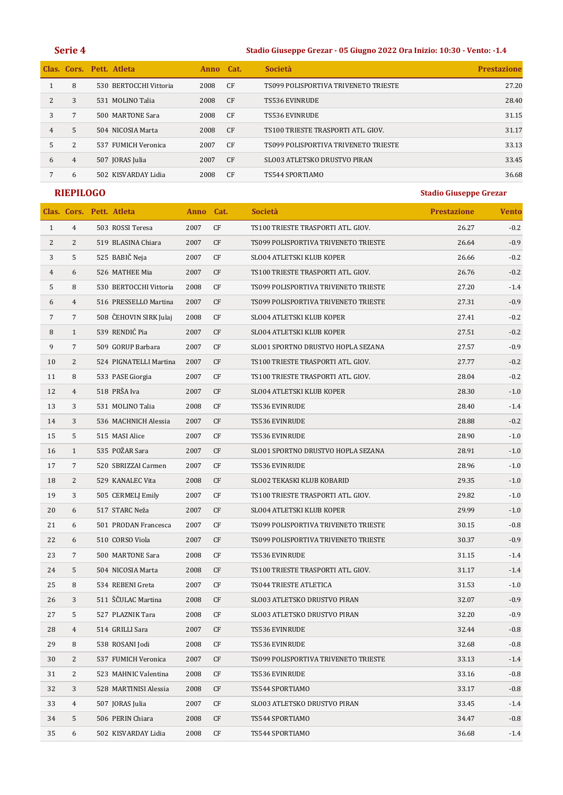### **Serie 4 Stadio Giuseppe Grezar - 05 Giugno 2022 Ora Inizio: 10:30 - Vento: -1.4**

|                |   | Clas. Cors. Pett. Atleta | Anno | Cat.           | <b>Società</b>                       | <b>Prestazione</b> |
|----------------|---|--------------------------|------|----------------|--------------------------------------|--------------------|
|                | 8 | 530 BERTOCCHI Vittoria   | 2008 | CF             | TS099 POLISPORTIVA TRIVENETO TRIESTE | 27.20              |
|                | 3 | 531 MOLINO Talia         | 2008 | C <sub>F</sub> | <b>TS536 EVINRUDE</b>                | 28.40              |
| 3              |   | 500 MARTONE Sara         | 2008 | CF             | <b>TS536 EVINRUDE</b>                | 31.15              |
| $\overline{4}$ | 5 | 504 NICOSIA Marta        | 2008 | C <sub>F</sub> | TS100 TRIESTE TRASPORTI ATL, GIOV.   | 31.17              |
| 5              | 2 | 537 FUMICH Veronica      | 2007 | C <sub>F</sub> | TS099 POLISPORTIVA TRIVENETO TRIESTE | 33.13              |
| 6              | 4 | 507 JORAS Julia          | 2007 | C <sub>F</sub> | SLO03 ATLETSKO DRUSTVO PIRAN         | 33.45              |
|                | 6 | 502 KISVARDAY Lidia      | 2008 | CF             | TS544 SPORTIAMO                      | 36.68              |

|                |                | Clas. Cors. Pett. Atleta | Anno Cat. |            | Società                              | <b>Prestazione</b> | <b>Vento</b> |
|----------------|----------------|--------------------------|-----------|------------|--------------------------------------|--------------------|--------------|
| $\mathbf{1}$   | $\overline{4}$ | 503 ROSSI Teresa         | 2007      | CF         | TS100 TRIESTE TRASPORTI ATL. GIOV.   | 26.27              | $-0.2$       |
| 2              | 2              | 519 BLASINA Chiara       | 2007      | CF         | TS099 POLISPORTIVA TRIVENETO TRIESTE | 26.64              | $-0.9$       |
| 3              | 5              | 525 BABIČ Neja           | 2007      | CF         | <b>SLO04 ATLETSKI KLUB KOPER</b>     | 26.66              | $-0.2$       |
| $\overline{4}$ | 6              | 526 MATHEE Mia           | 2007      | CF         | TS100 TRIESTE TRASPORTI ATL. GIOV.   | 26.76              | $-0.2$       |
| 5              | 8              | 530 BERTOCCHI Vittoria   | 2008      | CF         | TS099 POLISPORTIVA TRIVENETO TRIESTE | 27.20              | $-1.4$       |
| 6              | $\overline{4}$ | 516 PRESSELLO Martina    | 2007      | CF         | TS099 POLISPORTIVA TRIVENETO TRIESTE | 27.31              | $-0.9$       |
| 7              | 7              | 508 ČEHOVIN SIRK Julai   | 2008      | CF         | <b>SLO04 ATLETSKI KLUB KOPER</b>     | 27.41              | $-0.2$       |
| 8              | $\mathbf{1}$   | 539 RENDIĆ Pia           | 2007      | CF         | <b>SLO04 ATLETSKI KLUB KOPER</b>     | 27.51              | $-0.2$       |
| 9              | 7              | 509 GORUP Barbara        | 2007      | CF         | SLO01 SPORTNO DRUSTVO HOPLA SEZANA   | 27.57              | $-0.9$       |
| 10             | 2              | 524 PIGNATELLI Martina   | 2007      | CF         | TS100 TRIESTE TRASPORTI ATL. GIOV.   | 27.77              | $-0.2$       |
| 11             | 8              | 533 PASE Giorgia         | 2007      | CF         | TS100 TRIESTE TRASPORTI ATL. GIOV.   | 28.04              | $-0.2$       |
| 12             | $\overline{4}$ | 518 PRŠA Iva             | 2007      | CF         | <b>SLO04 ATLETSKI KLUB KOPER</b>     | 28.30              | $-1.0$       |
| 13             | 3              | 531 MOLINO Talia         | 2008      | CF         | TS536 EVINRUDE                       | 28.40              | $-1.4$       |
| 14             | 3              | 536 MACHNICH Alessia     | 2007      | CF         | TS536 EVINRUDE                       | 28.88              | $-0.2$       |
| 15             | 5              | 515 MASI Alice           | 2007      | CF         | TS536 EVINRUDE                       | 28.90              | $-1.0$       |
| 16             | $\mathbf{1}$   | 535 POŽAR Sara           | 2007      | CF         | SLO01 SPORTNO DRUSTVO HOPLA SEZANA   | 28.91              | $-1.0$       |
| 17             | 7              | 520 SBRIZZAI Carmen      | 2007      | CF         | <b>TS536 EVINRUDE</b>                | 28.96              | $-1.0$       |
| 18             | 2              | 529 KANALEC Vita         | 2008      | CF         | <b>SLO02 TEKASKI KLUB KOBARID</b>    | 29.35              | $-1.0$       |
| 19             | 3              | 505 CERMELJ Emily        | 2007      | CF         | TS100 TRIESTE TRASPORTI ATL. GIOV.   | 29.82              | $-1.0$       |
| 20             | 6              | 517 STARC Neža           | 2007      | CF         | <b>SLO04 ATLETSKI KLUB KOPER</b>     | 29.99              | $-1.0$       |
| 21             | 6              | 501 PRODAN Francesca     | 2007      | CF         | TS099 POLISPORTIVA TRIVENETO TRIESTE | 30.15              | $-0.8$       |
| 22             | 6              | 510 CORSO Viola          | 2007      | CF         | TS099 POLISPORTIVA TRIVENETO TRIESTE | 30.37              | $-0.9$       |
| 23             | 7              | 500 MARTONE Sara         | 2008      | CF         | TS536 EVINRUDE                       | 31.15              | $-1.4$       |
| 24             | 5              | 504 NICOSIA Marta        | 2008      | CF         | TS100 TRIESTE TRASPORTI ATL. GIOV.   | 31.17              | $-1.4$       |
| 25             | 8              | 534 REBENI Greta         | 2007      | CF         | TS044 TRIESTE ATLETICA               | 31.53              | $-1.0$       |
| 26             | 3              | 511 ŠČULAC Martina       | 2008      | CF         | SLO03 ATLETSKO DRUSTVO PIRAN         | 32.07              | $-0.9$       |
| 27             | 5              | 527 PLAZNIK Tara         | 2008      | CF         | SLO03 ATLETSKO DRUSTVO PIRAN         | 32.20              | $-0.9$       |
| $\sqrt{28}$    | 4              | 514 GRILLI Sara          | 2007      | $\cal{CF}$ | TS536 EVINRUDE                       | 32.44              | $-0.8$       |
| 29             | 8              | 538 ROSANI Jodi          | 2008      | CF         | TS536 EVINRUDE                       | 32.68              | $-0.8$       |
| 30             | 2              | 537 FUMICH Veronica      | 2007      | CF         | TS099 POLISPORTIVA TRIVENETO TRIESTE | 33.13              | $-1.4$       |
| 31             | 2              | 523 MAHNIC Valentina     | 2008      | CF         | TS536 EVINRUDE                       | 33.16              | $-0.8$       |
| 32             | 3              | 528 MARTINISI Alessia    | 2008      | CF         | TS544 SPORTIAMO                      | 33.17              | $-0.8$       |
| 33             | $\overline{4}$ | 507 JORAS Julia          | 2007      | CF         | SLO03 ATLETSKO DRUSTVO PIRAN         | 33.45              | $-1.4$       |
| 34             | 5              | 506 PERIN Chiara         | 2008      | CF         | TS544 SPORTIAMO                      | 34.47              | $-0.8$       |
| 35             | 6              | 502 KISVARDAY Lidia      | 2008      | CF         | TS544 SPORTIAMO                      | 36.68              | $-1.4$       |
|                |                |                          |           |            |                                      |                    |              |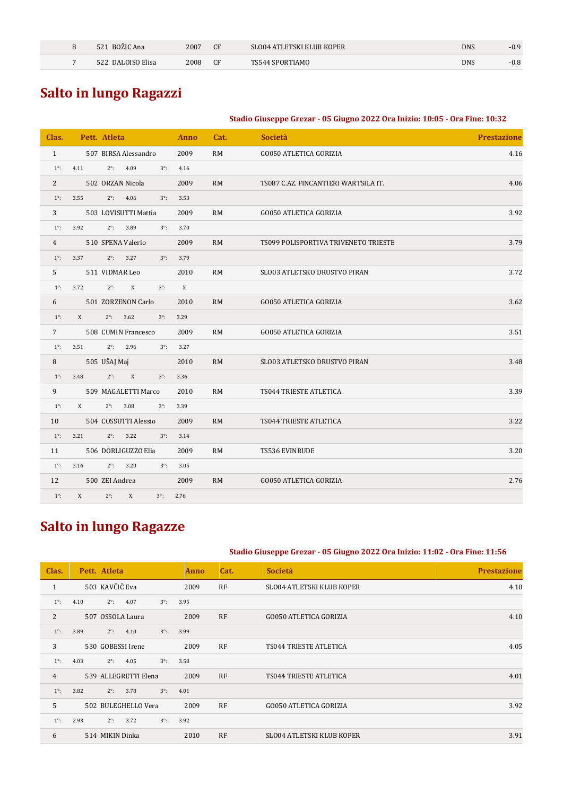| BOZIC Ana<br>521       | 2007 | CF        | SLO04 ATLETSKI KLUB KOPER | DNS | $-0.9$ |
|------------------------|------|-----------|---------------------------|-----|--------|
| 2 DALOISO Elisa<br>521 | 2008 | <b>CF</b> | TS544 SPORTIAMO           | DNS | $-0.8$ |

# **Salto in lungo Ragazzi**

## **Stadio Giuseppe Grezar - 05 Giugno 2022 Ora Inizio: 10:05 - Ora Fine: 10:32**

| Clas.          | Pett. Atleta |                                 |             | Anno | Cat.      | Società                              | <b>Prestazione</b> |
|----------------|--------------|---------------------------------|-------------|------|-----------|--------------------------------------|--------------------|
| $\mathbf{1}$   |              | 507 BIRSA Alessandro            |             | 2009 | <b>RM</b> | <b>GO050 ATLETICA GORIZIA</b>        | 4.16               |
| $1^\circ$ :    | 4.11         | 4.09<br>$2^\circ$ :             | $3^\circ$ : | 4.16 |           |                                      |                    |
| 2              |              | 502 ORZAN Nicola                |             | 2009 | RM        | TS087 C.AZ. FINCANTIERI WARTSILA IT. | 4.06               |
| $1^\circ$ :    | 3.55         | 4.06<br>$2^\circ$ :             | $3^\circ$ : | 3.53 |           |                                      |                    |
| 3              |              | 503 LOVISUTTI Mattia            |             | 2009 | <b>RM</b> | <b>GO050 ATLETICA GORIZIA</b>        | 3.92               |
| $1^\circ$ :    | 3.92         | $2^\circ$ :<br>3.89             | $3^\circ$ : | 3.70 |           |                                      |                    |
| $\overline{4}$ |              | 510 SPENA Valerio               |             | 2009 | RM        | TS099 POLISPORTIVA TRIVENETO TRIESTE | 3.79               |
| $1^\circ$ :    | 3.37         | $2^\circ$ :<br>3.27             | $3^\circ$ : | 3.79 |           |                                      |                    |
| 5              |              | 511 VIDMAR Leo                  |             | 2010 | <b>RM</b> | SLO03 ATLETSKO DRUSTVO PIRAN         | 3.72               |
| $1^\circ$ :    | 3.72         | $\boldsymbol{X}$<br>$2^\circ$ : | $3^\circ$ : | X    |           |                                      |                    |
| 6              |              | 501 ZORZENON Carlo              |             | 2010 | <b>RM</b> | <b>GO050 ATLETICA GORIZIA</b>        | 3.62               |
| $1^\circ$ :    | X            | $2^\circ$ :<br>3.62             | $3^\circ$ : | 3.29 |           |                                      |                    |
| $7^{\circ}$    |              | 508 CUMIN Francesco             |             | 2009 | <b>RM</b> | <b>GO050 ATLETICA GORIZIA</b>        | 3.51               |
| $1^\circ$ :    | 3.51         | 2.96<br>$2^\circ$ :             | $3^\circ$ : | 3.27 |           |                                      |                    |
| 8              | 505 UŠAJ Maj |                                 |             | 2010 | <b>RM</b> | SLO03 ATLETSKO DRUSTVO PIRAN         | 3.48               |
| $1^\circ$ :    | 3.48         | X<br>$2^\circ$ :                | $3^\circ$ : | 3.36 |           |                                      |                    |
| 9              |              | 509 MAGALETTI Marco             |             | 2010 | <b>RM</b> | TS044 TRIESTE ATLETICA               | 3.39               |
| $1^\circ$ :    | X            | 3.08<br>$2^\circ$ :             | $3^\circ$ : | 3.39 |           |                                      |                    |
| 10             |              | 504 COSSUTTI Alessio            |             | 2009 | <b>RM</b> | TS044 TRIESTE ATLETICA               | 3.22               |
| $1^\circ$ :    | 3.21         | $2^\circ$ :<br>3.22             | $3^\circ$ : | 3.14 |           |                                      |                    |
| 11             |              | 506 DORLIGUZZO Elia             |             | 2009 | <b>RM</b> | TS536 EVINRUDE                       | 3.20               |
| $1^\circ$ :    | 3.16         | $2^\circ$ :<br>3.20             | $3^\circ$ : | 3.05 |           |                                      |                    |
| 12             |              | 500 ZEI Andrea                  |             | 2009 | RM        | <b>GO050 ATLETICA GORIZIA</b>        | 2.76               |
| $1^\circ$ :    | X            | $2^\circ$ :<br>X                | $3^\circ$ : | 2.76 |           |                                      |                    |

# **Salto in lungo Ragazze**

### **Stadio Giuseppe Grezar - 05 Giugno 2022 Ora Inizio: 11:02 - Ora Fine: 11:56**

| Clas.          | Pett. Atleta                               | <b>Anno</b> | Cat.      | <b>Società</b>                   | <b>Prestazione</b> |
|----------------|--------------------------------------------|-------------|-----------|----------------------------------|--------------------|
| $\mathbf{1}$   | 503 KAVČIČ Eva                             | 2009        | RF        | <b>SLO04 ATLETSKI KLUB KOPER</b> | 4.10               |
| $1^\circ$ :    | $3^\circ$ :<br>$2^\circ$ :<br>4.07<br>4.10 | 3.95        |           |                                  |                    |
| $\overline{2}$ | 507 OSSOLA Laura                           | 2009        | RF        | <b>GO050 ATLETICA GORIZIA</b>    | 4.10               |
| $1^\circ$ :    | $3^\circ$ :<br>3.89<br>$2^\circ$ :<br>4.10 | 3.99        |           |                                  |                    |
| 3              | 530 GOBESSI Irene                          | 2009        | <b>RF</b> | TS044 TRIESTE ATLETICA           | 4.05               |
| $1^{\circ}$ :  | $3^\circ$ :<br>4.03<br>$2^\circ$ :<br>4.05 | 3.58        |           |                                  |                    |
| $\overline{4}$ | 539 ALLEGRETTI Elena                       | 2009        | RF        | TS044 TRIESTE ATLETICA           | 4.01               |
| $1^\circ$ :    | 3.82<br>$2^\circ$ :<br>3.78<br>$3^\circ$ : | 4.01        |           |                                  |                    |
| 5              | 502 BULEGHELLO Vera                        | 2009        | <b>RF</b> | <b>GO050 ATLETICA GORIZIA</b>    | 3.92               |
| $1^{\circ}$ :  | 2.93<br>$3^\circ$ :<br>$2^\circ$ :<br>3.72 | 3.92        |           |                                  |                    |
| 6              | 514 MIKIN Dinka                            | 2010        | <b>RF</b> | <b>SLO04 ATLETSKI KLUB KOPER</b> | 3.91               |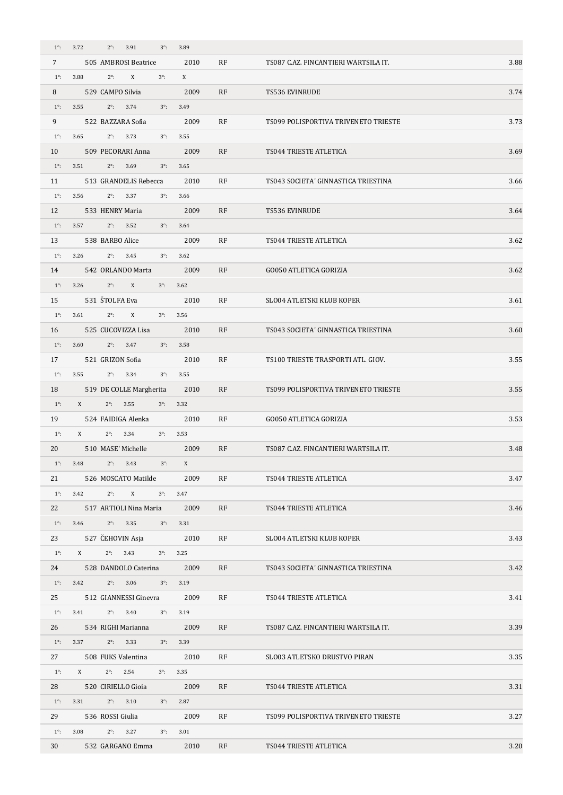| $1^\circ$ :    | 3.72<br>$2^\circ$ :<br>3.91<br>$3^\circ$ :       | 3.89               |           |                                      |      |
|----------------|--------------------------------------------------|--------------------|-----------|--------------------------------------|------|
| $\overline{7}$ | 505 AMBROSI Beatrice                             | 2010               | <b>RF</b> | TS087 C.AZ. FINCANTIERI WARTSILA IT. | 3.88 |
| $1^\circ$ :    | 3.88<br>$2^\circ$ :<br>X<br>$3^\circ$ :          | X                  |           |                                      |      |
| 8              | 529 CAMPO Silvia                                 | 2009               | RF        | <b>TS536 EVINRUDE</b>                | 3.74 |
| $1^\circ$ :    | 3.55<br>$2^\circ$ :<br>3.74<br>$3^\circ$ :       | 3.49               |           |                                      |      |
| 9              | 522 BAZZARA Sofia                                | 2009               | <b>RF</b> | TS099 POLISPORTIVA TRIVENETO TRIESTE | 3.73 |
| $1^\circ$ :    | 3.65<br>$2^{\circ}$ : 3.73<br>$3^\circ$ :        | 3.55               |           |                                      |      |
| 10             | 509 PECORARI Anna                                | 2009               | RF        | TS044 TRIESTE ATLETICA               | 3.69 |
| $1^\circ$ :    | 3.51<br>$2^\circ$ :<br>3.69<br>$3^\circ$ :       | 3.65               |           |                                      |      |
| 11             | 513 GRANDELIS Rebecca                            | 2010               | RF        | TS043 SOCIETA' GINNASTICA TRIESTINA  | 3.66 |
| $1^\circ$ :    | 3.56<br>$2^{\circ}$ : 3.37<br>$3^\circ$ :        | 3.66               |           |                                      |      |
| 12             | 533 HENRY Maria                                  | 2009               | RF        | TS536 EVINRUDE                       | 3.64 |
| $1^\circ$ :    | $2^{\circ}$ : 3.52<br>3.57<br>$3^\circ$ :        | 3.64               |           |                                      |      |
| 13             | 538 BARBO Alice                                  | 2009               | <b>RF</b> | TS044 TRIESTE ATLETICA               | 3.62 |
| $1^\circ$ :    | $2^{\circ}$ : 3.45<br>3.26<br>$3^\circ$ :        | 3.62               |           |                                      |      |
| 14             | 542 ORLANDO Marta                                | 2009               | <b>RF</b> | <b>GO050 ATLETICA GORIZIA</b>        | 3.62 |
| $1^\circ$ :    | $2^\circ$ :<br>3.26<br>X<br>$3^\circ$ :          | 3.62               |           |                                      |      |
| 15             | 531 ŠTOLFA Eva                                   | 2010               | RF        | SLO04 ATLETSKI KLUB KOPER            | 3.61 |
| $1^\circ$ :    | 3.61<br>$2^\circ$ :<br>X<br>$3^\circ$ :          | 3.56               |           |                                      |      |
| 16             | 525 CUCOVIZZA Lisa                               | 2010               | RF        | TS043 SOCIETA' GINNASTICA TRIESTINA  | 3.60 |
| $1^\circ$ :    | 3.60<br>$2^{\circ}$ : 3.47<br>$3^\circ$ :        | 3.58               |           |                                      |      |
| 17             | 521 GRIZON Sofia                                 | 2010               | RF        | TS100 TRIESTE TRASPORTI ATL. GIOV.   | 3.55 |
| $1^\circ$ :    | $2^{\circ}$ : 3.34<br>3.55<br>$3^\circ$ :        | 3.55               |           |                                      |      |
| 18             | 519 DE COLLE Margherita                          | 2010               | <b>RF</b> | TS099 POLISPORTIVA TRIVENETO TRIESTE | 3.55 |
| $1^\circ$ :    | $2^{\circ}$ : 3.55<br>$X$ and $X$<br>$3^\circ$ : | 3.32               |           |                                      |      |
| 19             | 524 FAIDIGA Alenka                               | 2010               | RF        | <b>GO050 ATLETICA GORIZIA</b>        | 3.53 |
| $1^\circ$ :    | $2^\circ$ :<br>X<br>3.34                         | $3^{\circ}$ : 3.53 |           |                                      |      |
| 20             | 510 MASE' Michelle                               | 2009               | RF        | TS087 C.AZ. FINCANTIERI WARTSILA IT. | 3.48 |
| $1^\circ$ :    | 3.48<br>$2^\circ$ :<br>$3^\circ$ :<br>3.43       | X                  |           |                                      |      |
| 21             | 526 MOSCATO Matilde                              | 2009               | RF        | TS044 TRIESTE ATLETICA               | 3.47 |
| $1^\circ$ :    | $2^\circ$ :<br>X<br>3.42<br>$3^\circ$ :          | 3.47               |           |                                      |      |
| 22             | 517 ARTIOLI Nina Maria                           | 2009               | RF        | TS044 TRIESTE ATLETICA               | 3.46 |
| $1^\circ$ :    | $2^{\circ}$ : 3.35<br>3.46<br>$3^\circ$ :        | 3.31               |           |                                      |      |
| 23             | 527 ČEHOVIN Asja                                 | 2010               | RF        | SLO04 ATLETSKI KLUB KOPER            | 3.43 |
| $1^\circ$ :    | X<br>$2^{\circ}$ : 3.43<br>$3^\circ$ :           | 3.25               |           |                                      |      |
| 24             | 528 DANDOLO Caterina                             | 2009               | RF        | TS043 SOCIETA' GINNASTICA TRIESTINA  | 3.42 |
| $1^\circ$ :    | $2^{\circ}$ : 3.06<br>3.42<br>$3^\circ$ :        | 3.19               |           |                                      |      |
| 25             | 512 GIANNESSI Ginevra                            | 2009               | RF        | TS044 TRIESTE ATLETICA               | 3.41 |
| $1^\circ$ :    | $2^{\circ}$ : 3.40<br>3.41<br>$3^\circ$ :        | 3.19               |           |                                      |      |
| 26             | 534 RIGHI Marianna                               | 2009               | RF        | TS087 C.AZ. FINCANTIERI WARTSILA IT. | 3.39 |
| $1^\circ$ :    | $2^{\circ}$ : 3.33<br>3.37<br>$3^\circ$ :        | 3.39               |           |                                      |      |
| 27             | 508 FUKS Valentina                               | 2010               | RF        | SLO03 ATLETSKO DRUSTVO PIRAN         | 3.35 |
| $1^\circ$ :    | $2^{\circ}$ : 2.54<br>X<br>$3^\circ$ :           | 3.35               |           |                                      |      |
| 28             | 520 CIRIELLO Gioia                               | 2009               | RF        | TS044 TRIESTE ATLETICA               | 3.31 |
| $1^\circ$ :    | 3.31<br>$2^{\circ}$ : 3.10<br>$3^\circ$ :        | 2.87               |           |                                      |      |
| 29             | 536 ROSSI Giulia                                 | 2009               | RF        | TS099 POLISPORTIVA TRIVENETO TRIESTE | 3.27 |
| $1^\circ$ :    | 3.08<br>$2^{\circ}$ : 3.27<br>$3^\circ$ :        | 3.01               |           |                                      |      |
| 30             | 532 GARGANO Emma                                 | 2010               | RF        | TS044 TRIESTE ATLETICA               | 3.20 |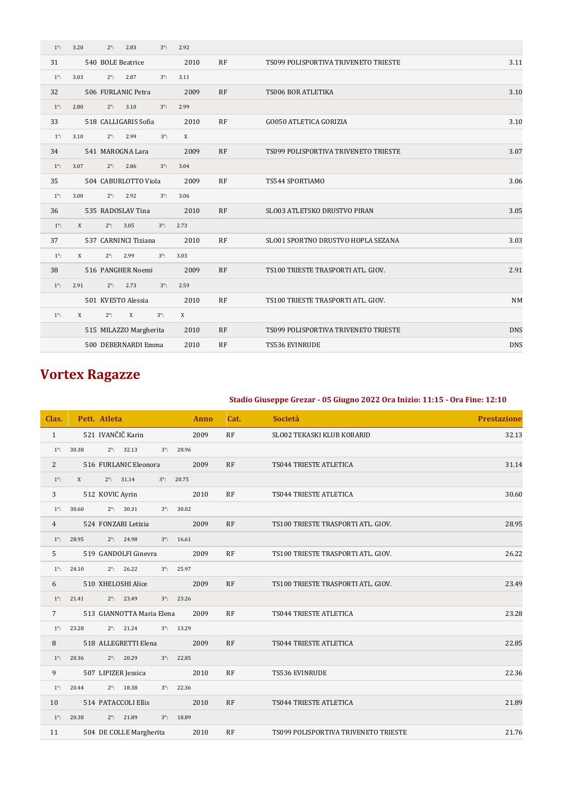| $1^\circ$ : | 3.20<br>$2^\circ$ :  | 2.83<br>$3^\circ$ :    | 2.92             |    |                                      |            |
|-------------|----------------------|------------------------|------------------|----|--------------------------------------|------------|
| 31          | 540 BOLE Beatrice    |                        | 2010             | RF | TS099 POLISPORTIVA TRIVENETO TRIESTE | 3.11       |
| $1^\circ$ : | 3.03<br>$2^\circ$ :  | 2.87<br>$3^\circ$ :    | 3.11             |    |                                      |            |
| 32          | 506 FURLANIC Petra   |                        | 2009             | RF | TS006 BOR ATLETIKA                   | 3.10       |
| $1^\circ$ : | 2.80<br>$2^\circ$ :  | 3.10<br>$3^\circ$ :    | 2.99             |    |                                      |            |
| 33          | 518 CALLIGARIS Sofia |                        | 2010             | RF | <b>GO050 ATLETICA GORIZIA</b>        | 3.10       |
| $1^\circ$ : | 3.10<br>$2^\circ$ :  | 2.99<br>$3^\circ$ :    | $\boldsymbol{X}$ |    |                                      |            |
| 34          | 541 MAROGNA Lara     |                        | 2009             | RF | TS099 POLISPORTIVA TRIVENETO TRIESTE | 3.07       |
| $1^\circ$ : | 3.07<br>$2^\circ$ :  | 2.86<br>$3^\circ$ :    | 3.04             |    |                                      |            |
| 35          |                      | 504 CABURLOTTO Viola   | 2009             | RF | TS544 SPORTIAMO                      | 3.06       |
| $1^\circ$ : | 3.00<br>$2^\circ$ :  | 2.92<br>$3^\circ$ :    | 3.06             |    |                                      |            |
| 36          | 535 RADOSLAV Tina    |                        | 2010             | RF | <b>SLO03 ATLETSKO DRUSTVO PIRAN</b>  | 3.05       |
| $1^\circ$ : | X<br>$2^\circ$ :     | 3.05<br>$3^\circ$ :    | 2.73             |    |                                      |            |
| 37          | 537 CARNINCI Tiziana |                        | 2010             | RF | SLO01 SPORTNO DRUSTVO HOPLA SEZANA   | 3.03       |
| $1^\circ$ : | $2^\circ$ :<br>X     | 2.99<br>$3^\circ$ :    | 3.03             |    |                                      |            |
| 38          | 516 PANGHER Noemi    |                        | 2009             | RF | TS100 TRIESTE TRASPORTI ATL. GIOV.   | 2.91       |
| $1^\circ$ : | 2.91<br>$2^\circ$ :  | 2.73<br>$3^\circ$ :    | 2.59             |    |                                      |            |
|             | 501 KVESTO Alessia   |                        | 2010             | RF | TS100 TRIESTE TRASPORTI ATL. GIOV.   | <b>NM</b>  |
| $1^\circ$ : | $2^\circ$ :<br>X     | X<br>$3^\circ$ :       | $\boldsymbol{X}$ |    |                                      |            |
|             |                      | 515 MILAZZO Margherita | 2010             | RF | TS099 POLISPORTIVA TRIVENETO TRIESTE | <b>DNS</b> |
|             |                      | 500 DEBERNARDI Emma    | 2010             | RF | <b>TS536 EVINRUDE</b>                | <b>DNS</b> |
|             |                      |                        |                  |    |                                      |            |

# **Vortex Ragazze**

### **Stadio Giuseppe Grezar - 05 Giugno 2022 Ora Inizio: 11:15 - Ora Fine: 12:10**

| Clas.           |                   | Pett. Atleta              |                     | <b>Anno</b> | Cat. | <b>Società</b>                       | <b>Prestazione</b> |
|-----------------|-------------------|---------------------------|---------------------|-------------|------|--------------------------------------|--------------------|
| $\mathbf{1}$    |                   | 521 IVANČIČ Karin         |                     | 2009        | RF   | SLO02 TEKASKI KLUB KOBARID           | 32.13              |
| $1^\circ$ :     | 30.38             | $2^{\circ}$ : 32.13       | $3^{\circ}$ : 28.96 |             |      |                                      |                    |
| $\overline{2}$  |                   | 516 FURLANIC Eleonora     |                     | 2009        | RF   | TS044 TRIESTE ATLETICA               | 31.14              |
| $1^\circ$ :     | $X$ and $X$       | $2^{\circ}$ : 31.14       | $3^{\circ}$ : 20.75 |             |      |                                      |                    |
| 3               |                   | 512 KOVIC Ayrin           |                     | 2010        | RF   | TS044 TRIESTE ATLETICA               | 30.60              |
| $1^{\circ}$ :   | 30.60             | $2^{\circ}$ : 30.31       | $3^{\circ}$ : 30.02 |             |      |                                      |                    |
| 4               |                   | 524 FONZARI Letizia       |                     | 2009        | RF   | TS100 TRIESTE TRASPORTI ATL. GIOV.   | 28.95              |
| $1^\circ$ :     | 28.95             | $2^{\circ}$ : 24.98       | $3^{\circ}$ : 16.61 |             |      |                                      |                    |
| 5               |                   | 519 GANDOLFI Ginevra      |                     | 2009        | RF   | TS100 TRIESTE TRASPORTI ATL. GIOV.   | 26.22              |
| $1^\circ$ :     | 24.10             | $2^{\circ}$ : 26.22       | $3^{\circ}$ : 25.97 |             |      |                                      |                    |
| 6               |                   | 510 XHELOSHI Alice        |                     | 2009        | RF   | TS100 TRIESTE TRASPORTI ATL. GIOV.   | 23.49              |
| $1^\circ$ :     | 21.41             | $2^{\circ}$ : 23.49       | $3^{\circ}$ : 23.26 |             |      |                                      |                    |
| $7\overline{ }$ |                   | 513 GIANNOTTA Maria Elena |                     | 2009        | RF   | TS044 TRIESTE ATLETICA               | 23.28              |
| $1^\circ$ :     | 23.28             | $2^{\circ}$ : 21.24       | $3^{\circ}$ : 13.29 |             |      |                                      |                    |
| 8               |                   | 518 ALLEGRETTI Elena      |                     | 2009        | RF   | TS044 TRIESTE ATLETICA               | 22.85              |
| $1^\circ$ :     | 20.36             | $2^{\circ}$ : 20.29       | $3^{\circ}$ : 22.85 |             |      |                                      |                    |
| 9               |                   | 507 LIPIZER Jessica       |                     | 2010        | RF   | TS536 EVINRUDE                       | 22.36              |
| $1^\circ$ :     | 20.44             | $2^{\circ}$ : 18.38       | $3^{\circ}$ : 22.36 |             |      |                                      |                    |
| 10              |                   | 514 PATACCOLI Ellis       |                     | 2010        | RF   | TS044 TRIESTE ATLETICA               | 21.89              |
|                 | $1^\circ$ : 20.38 | $2^{\circ}$ : 21.89       | $3^{\circ}$ : 18.89 |             |      |                                      |                    |
| 11              |                   | 504 DE COLLE Margherita   |                     | 2010        | RF   | TS099 POLISPORTIVA TRIVENETO TRIESTE | 21.76              |